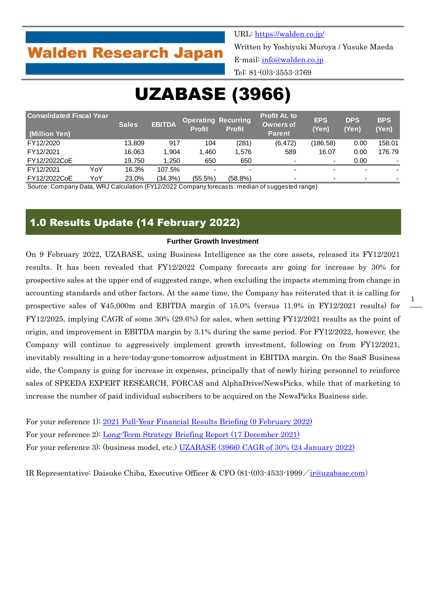## **Walden Research Japan**

URL:<https://walden.co.jp/>

Written by Yoshiyuki Muroya / Yusuke Maeda E-mail: [info@walden.co.jp](mailto:info@walden.co.jp)

Tel: 81-(0)3-3553-3769

# UZABASE (3966)

| <b>Consolidated Fiscal Year</b><br>(Million Yen) |     | <b>Sales</b> | <b>EBITDA</b> | <b>Operating Recurring</b><br><b>Profit</b> | <b>Profit</b> | <b>Profit At. to</b><br><b>Owners of</b><br><b>Parent</b> | <b>EPS</b><br>(Yen) | <b>DPS</b><br>(Yen) | <b>BPS</b><br>(Yen) |
|--------------------------------------------------|-----|--------------|---------------|---------------------------------------------|---------------|-----------------------------------------------------------|---------------------|---------------------|---------------------|
| FY12/2020                                        |     | 13.809       | 917           | 104                                         | (281)         | (6, 472)                                                  | (186.58)            | 0.00                | 158.01              |
| FY12/2021                                        |     | 16,063       | 1,904         | 1.460                                       | 1.576         | 589                                                       | 16.07               | 0.00                | 176.79              |
| FY12/2022CoE                                     |     | 19,750       | 1,250         | 650                                         | 650           |                                                           | $\blacksquare$      | 0.00                |                     |
| FY12/2021                                        | YoY | 16.3%        | 107.5%        |                                             |               |                                                           | $\sim$              |                     |                     |
| FY12/2022CoE                                     | YoY | 23.0%        | (34.3%)       | $(55.5\%)$                                  | $(58.8\%)$    |                                                           | $\blacksquare$      |                     |                     |

Source: Company Data, WRJ Calculation (FY12/2022 Company forecasts: median of suggested range)

## 1.0 Results Update (14 February 2022)

#### **Further Growth Investment**

On 9 February 2022, UZABASE, using Business Intelligence as the core assets, released its FY12/2021 results. It has been revealed that FY12/2022 Company forecasts are going for increase by 30% for prospective sales at the upper end of suggested range, when excluding the impacts stemming from change in accounting standards and other factors. At the same time, the Company has reiterated that it is calling for prospective sales of ¥45,000m and EBITDA margin of 15.0% (versus 11.9% in FY12/2021 results) for FY12/2025, implying CAGR of some 30% (29.6%) for sales, when setting FY12/2021 results as the point of origin, and improvement in EBITDA margin by 3.1% during the same period. For FY12/2022, however, the Company will continue to aggressively implement growth investment, following on from FY12/2021, inevitably resulting in a here-today-gone-tomorrow adjustment in EBITDA margin. On the SaaS Business side, the Company is going for increase in expenses, principally that of newly hiring personnel to reinforce sales of SPEEDA EXPERT RESEARCH, FORCAS and AlphaDrive/NewsPicks, while that of marketing to increase the number of paid individual subscribers to be acquired on the NewsPicks Business side.

For your reference 1): [2021 Full-Year Financial Results Briefing \(9 February 2022\)](https://ssl4.eir-parts.net/doc/3966/announcement2/76028/00.pdf) For your reference 2): [Long-Term Strategy Briefing Report \(17 December 2021\)](https://ssl4.eir-parts.net/doc/3966/announcement2/74797/00.pdf) For your reference 3): (business model, etc.) [UZABASE \(3966\) CAGR of 30% \(24 January 2022\)](https://walden.co.jp/pdf/3966_uzabase_2021_12_q3_report_2022_01_24_english.pdf)

IR Representative: Daisuke Chiba, Executive Officer & CFO (81-(0)3-4533-1999/[ir@uzabase.com](mailto:ir@uzabase.com))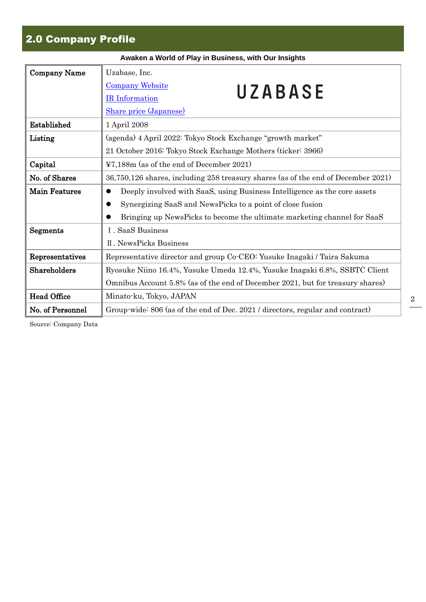## 2.0 Company Profile

| Awaken a World of Play in Business, with Our Insights |                                                                                        |  |  |  |  |  |  |
|-------------------------------------------------------|----------------------------------------------------------------------------------------|--|--|--|--|--|--|
| <b>Company Name</b>                                   | Uzabase, Inc.                                                                          |  |  |  |  |  |  |
|                                                       | <b>Company Website</b><br>UZABASE                                                      |  |  |  |  |  |  |
|                                                       | <b>IR</b> Information                                                                  |  |  |  |  |  |  |
|                                                       | <b>Share price (Japanese)</b>                                                          |  |  |  |  |  |  |
| Established                                           | 1 April 2008                                                                           |  |  |  |  |  |  |
| Listing                                               | (agenda) 4 April 2022: Tokyo Stock Exchange "growth market"                            |  |  |  |  |  |  |
|                                                       | 21 October 2016: Tokyo Stock Exchange Mothers (ticker: 3966)                           |  |  |  |  |  |  |
| Capital                                               | ¥7,188m (as of the end of December 2021)                                               |  |  |  |  |  |  |
| No. of Shares                                         | 36,750,126 shares, including 258 treasury shares (as of the end of December 2021)      |  |  |  |  |  |  |
| <b>Main Features</b>                                  | Deeply involved with SaaS, using Business Intelligence as the core assets<br>$\bullet$ |  |  |  |  |  |  |
|                                                       | Synergizing SaaS and NewsPicks to a point of close fusion                              |  |  |  |  |  |  |
|                                                       | Bringing up NewsPicks to become the ultimate marketing channel for SaaS                |  |  |  |  |  |  |
| Segments                                              | I. SaaS Business                                                                       |  |  |  |  |  |  |
|                                                       | <b>II. NewsPicks Business</b>                                                          |  |  |  |  |  |  |
| Representatives                                       | Representative director and group Co-CEO: Yusuke Inagaki / Taira Sakuma                |  |  |  |  |  |  |
| Shareholders                                          | Ryosuke Niino 16.4%, Yusuke Umeda 12.4%, Yusuke Inagaki 6.8%, SSBTC Client             |  |  |  |  |  |  |
|                                                       | Omnibus Account 5.8% (as of the end of December 2021, but for treasury shares)         |  |  |  |  |  |  |
| <b>Head Office</b>                                    | Minato-ku, Tokyo, JAPAN                                                                |  |  |  |  |  |  |
| No. of Personnel                                      | Group wide: 806 (as of the end of Dec. 2021 / directors, regular and contract)         |  |  |  |  |  |  |

Source: Company Data

2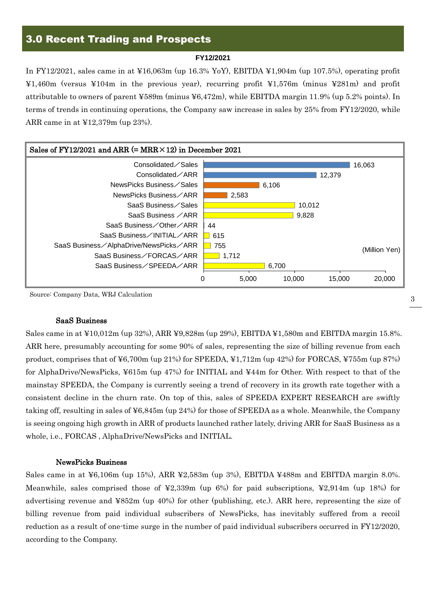## 3.0 Recent Trading and Prospects

#### **FY12/2021**

In FY12/2021, sales came in at ¥16,063m (up 16.3% YoY), EBITDA ¥1,904m (up 107.5%), operating profit ¥1,460m (versus ¥104m in the previous year), recurring profit ¥1,576m (minus ¥281m) and profit attributable to owners of parent ¥589m (minus ¥6,472m), while EBITDA margin 11.9% (up 5.2% points). In terms of trends in continuing operations, the Company saw increase in sales by 25% from FY12/2020, while ARR came in at ¥12,379m (up 23%).



Source: Company Data, WRJ Calculation

#### SaaS Business

Sales came in at ¥10,012m (up 32%), ARR ¥9,828m (up 29%), EBITDA ¥1,580m and EBITDA margin 15.8%. ARR here, presumably accounting for some 90% of sales, representing the size of billing revenue from each product, comprises that of ¥6,700m (up 21%) for SPEEDA, ¥1,712m (up 42%) for FORCAS, ¥755m (up 87%) for AlphaDrive/NewsPicks, ¥615m (up 47%) for INITIAL and ¥44m for Other. With respect to that of the mainstay SPEEDA, the Company is currently seeing a trend of recovery in its growth rate together with a consistent decline in the churn rate. On top of this, sales of SPEEDA EXPERT RESEARCH are swiftly taking off, resulting in sales of ¥6,845m (up 24%) for those of SPEEDA as a whole. Meanwhile, the Company is seeing ongoing high growth in ARR of products launched rather lately, driving ARR for SaaS Business as a whole, i.e., FORCAS , AlphaDrive/NewsPicks and INITIAL.

#### NewsPicks Business

Sales came in at ¥6,106m (up 15%), ARR ¥2,583m (up 3%), EBITDA ¥488m and EBITDA margin 8.0%. Meanwhile, sales comprised those of  $\text{\textsterling}2,339m$  (up 6%) for paid subscriptions,  $\text{\textsterling}2,914m$  (up 18%) for advertising revenue and ¥852m (up 40%) for other (publishing, etc.). ARR here, representing the size of billing revenue from paid individual subscribers of NewsPicks, has inevitably suffered from a recoil reduction as a result of one-time surge in the number of paid individual subscribers occurred in FY12/2020, according to the Company.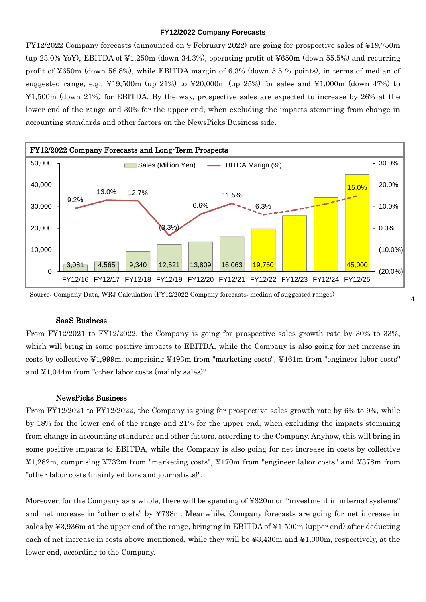#### **FY12/2022 Company Forecasts**

FY12/2022 Company forecasts (announced on 9 February 2022) are going for prospective sales of ¥19,750m (up 23.0% YoY), EBITDA of ¥1,250m (down 34.3%), operating profit of ¥650m (down 55.5%) and recurring profit of ¥650m (down 58.8%), while EBITDA margin of 6.3% (down 5.5 % points), in terms of median of suggested range, e.g.,  $\text{\textsterling}19,500\text{m}$  (up 21%) to  $\text{\textsterling}20,000\text{m}$  (up 25%) for sales and  $\text{\textsterling}1,000\text{m}$  (down 47%) to ¥1,500m (down 21%) for EBITDA. By the way, prospective sales are expected to increase by 26% at the lower end of the range and 30% for the upper end, when excluding the impacts stemming from change in accounting standards and other factors on the NewsPicks Business side.



Source: Company Data, WRJ Calculation (FY12/2022 Company forecasts: median of suggested ranges)

#### SaaS Business

From FY12/2021 to FY12/2022, the Company is going for prospective sales growth rate by 30% to 33%, which will bring in some positive impacts to EBITDA, while the Company is also going for net increase in costs by collective ¥1,999m, comprising ¥493m from "marketing costs", ¥461m from "engineer labor costs" and ¥1,044m from "other labor costs (mainly sales)".

#### NewsPicks Business

From FY12/2021 to FY12/2022, the Company is going for prospective sales growth rate by 6% to 9%, while by 18% for the lower end of the range and 21% for the upper end, when excluding the impacts stemming from change in accounting standards and other factors, according to the Company. Anyhow, this will bring in some positive impacts to EBITDA, while the Company is also going for net increase in costs by collective ¥1,282m, comprising ¥732m from "marketing costs", ¥170m from "engineer labor costs" and ¥378m from "other labor costs (mainly editors and journalists)".

Moreover, for the Company as a whole, there will be spending of ¥320m on "investment in internal systems" and net increase in "other costs" by ¥738m. Meanwhile, Company forecasts are going for net increase in sales by  $\text{\textless}3,936\text{m}$  at the upper end of the range, bringing in EBITDA of  $\text{\textless}1,500\text{m}$  (upper end) after deducting each of net increase in costs above-mentioned, while they will be ¥3,436m and ¥1,000m, respectively, at the lower end, according to the Company.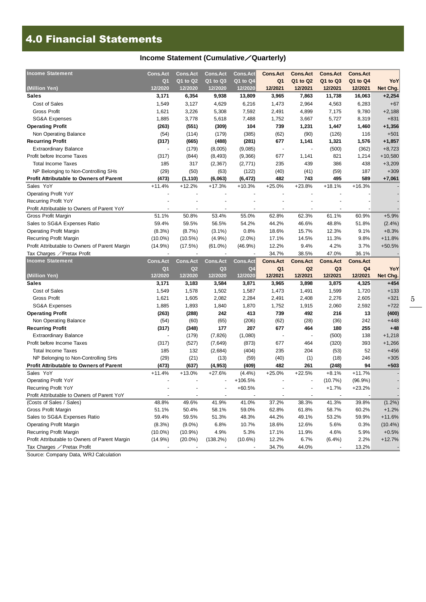## 4.0 Financial Statements

### **Income Statement (Cumulative**/**Quarterly)**

| <b>Income Statement</b>                                                       | Cons.Act        | <b>Cons.Act</b> | <b>Cons.Act</b> | <b>Cons.Act</b> | <b>Cons.Act</b> | <b>Cons.Act</b>          | <b>Cons.Act</b> | <b>Cons.Act</b> |            |
|-------------------------------------------------------------------------------|-----------------|-----------------|-----------------|-----------------|-----------------|--------------------------|-----------------|-----------------|------------|
|                                                                               | Q <sub>1</sub>  | Q1 to Q2        | Q1 to Q3        | Q1 to Q4        | Q <sub>1</sub>  | Q1 to Q2                 | Q1 to Q3        | Q1 to Q4        | YoY        |
| (Million Yen)                                                                 | 12/2020         | 12/2020         | 12/2020         | 12/2020         | 12/2021         | 12/2021                  | 12/2021         | 12/2021         | Net Chg.   |
| <b>Sales</b>                                                                  | 3,171           | 6,354           | 9,938           | 13,809          | 3,965           | 7,863                    | 11,738          | 16,063          | $+2,254$   |
| Cost of Sales                                                                 | 1,549           | 3,127           | 4,629           | 6,216           | 1,473           | 2,964                    | 4,563           | 6,283           | $+67$      |
| <b>Gross Profit</b>                                                           | 1,621           | 3,226           | 5,308           | 7,592           | 2,491           | 4,899                    | 7,175           | 9,780           | $+2,188$   |
| <b>SG&amp;A Expenses</b>                                                      | 1,885           | 3,778           | 5,618           | 7,488           | 1,752           | 3,667                    | 5,727           | 8,319           | $+831$     |
| <b>Operating Profit</b>                                                       | (263)           | (551)           | (309)           | 104             | 739             | 1,231                    | 1,447           | 1,460           | $+1,356$   |
| Non Operating Balance                                                         | (54)            | (114)           | (179)           | (385)           | (62)            | (90)                     | (126)           | 116             | $+501$     |
| <b>Recurring Profit</b>                                                       | (317)           | (665)           | (488)           | (281)           | 677             | 1,141                    | 1,321           | 1,576           | $+1,857$   |
| <b>Extraordinary Balance</b>                                                  | ÷,              | (179)           | (8,005)         | (9,085)         | ÷,              | $\overline{\phantom{a}}$ | (500)           | (362)           | $+8,723$   |
| Profit before Income Taxes                                                    | (317)           | (844)           | (8, 493)        | (9,366)         | 677             | 1,141                    | 821             | 1,214           | $+10,580$  |
| <b>Total Income Taxes</b>                                                     | 185             | 317             | (2, 367)        | (2, 771)        | 235             | 439                      | 386             | 438             | $+3,209$   |
| NP Belonging to Non-Controlling SHs                                           | (29)            | (50)            | (63)            | (122)           | (40)            | (41)                     | (59)            | 187             | $+309$     |
| <b>Profit Attributable to Owners of Parent</b>                                | (473)           | (1, 110)        | (6,063)         | (6, 472)        | 482             | 743                      | 495             | 589             | $+7,061$   |
| Sales YoY                                                                     | $+11.4%$        | $+12.2%$        | $+17.3%$        | $+10.3%$        | $+25.0%$        | $+23.8%$                 | $+18.1%$        | $+16.3%$        |            |
| <b>Operating Profit YoY</b>                                                   |                 |                 |                 |                 |                 |                          |                 |                 |            |
| Recurring Profit YoY                                                          |                 |                 |                 |                 |                 |                          |                 |                 |            |
| Profit Attributable to Owners of Parent YoY                                   |                 |                 | ÷               |                 |                 |                          |                 |                 |            |
| <b>Gross Profit Margin</b>                                                    | 51.1%           | 50.8%           | 53.4%           | 55.0%           | 62.8%           | 62.3%                    | 61.1%           | 60.9%           | $+5.9%$    |
| Sales to SG&A Expenses Ratio                                                  | 59.4%           | 59.5%           | 56.5%           | 54.2%           | 44.2%           | 46.6%                    | 48.8%           | 51.8%           | $(2.4\%)$  |
| <b>Operating Profit Margin</b>                                                | $(8.3\%)$       | (8.7%)          | $(3.1\%)$       | 0.8%            | 18.6%           | 15.7%                    | 12.3%           | 9.1%            | $+8.3%$    |
| Recurring Profit Margin                                                       | $(10.0\%)$      | $(10.5\%)$      | (4.9%)          | $(2.0\%)$       | 17.1%           | 14.5%                    | 11.3%           | 9.8%            | $+11.8%$   |
| Profit Attributable to Owners of Parent Margin                                | (14.9%)         | (17.5%)         | $(61.0\%)$      | (46.9%)         | 12.2%           | 9.4%                     | 4.2%            | 3.7%            | $+50.5%$   |
| Tax Charges ∕Pretax Profit                                                    |                 |                 |                 |                 | 34.7%           | 38.5%                    | 47.0%           | 36.1%           |            |
| <b>Income Statement</b>                                                       | <b>Cons.Act</b> | <b>Cons.Act</b> | Cons.Act        | <b>Cons.Act</b> | <b>Cons.Act</b> | <b>Cons.Act</b>          | <b>Cons.Act</b> | <b>Cons.Act</b> |            |
|                                                                               |                 |                 |                 |                 |                 |                          |                 |                 |            |
|                                                                               | Q <sub>1</sub>  | Q <sub>2</sub>  | Q <sub>3</sub>  | Q4              | Q <sub>1</sub>  | Q2                       | Q <sub>3</sub>  | Q4              | YoY        |
| (Million Yen)                                                                 | 12/2020         | 12/2020         | 12/2020         | 12/2020         | 12/2021         | 12/2021                  | 12/2021         | 12/2021         | Net Chg.   |
| <b>Sales</b>                                                                  | 3,171           | 3,183           | 3,584           | 3,871           | 3,965           | 3,898                    | 3,875           | 4,325           | $+454$     |
| Cost of Sales                                                                 | 1,549           | 1,578           | 1,502           | 1,587           | 1,473           | 1,491                    | 1,599           | 1,720           | $+133$     |
| <b>Gross Profit</b>                                                           | 1,621           | 1,605           | 2,082           | 2,284           | 2,491           | 2,408                    | 2,276           | 2,605           | $+321$     |
| <b>SG&amp;A Expenses</b>                                                      | 1,885           | 1,893           | 1,840           | 1,870           | 1,752           | 1,915                    | 2,060           | 2,592           | $+722$     |
| <b>Operating Profit</b>                                                       | (263)           | (288)           | 242             | 413             | 739             | 492                      | 216             | 13              | (400)      |
| Non Operating Balance                                                         | (54)            | (60)            | (65)            | (206)           | (62)            | (28)                     | (36)            | 242             | +448       |
| <b>Recurring Profit</b>                                                       | (317)           | (348)           | 177             | 207             | 677             | 464                      | 180             | 255             | $+48$      |
| <b>Extraordinary Balance</b>                                                  |                 | (179)           | (7, 826)        | (1,080)         |                 |                          | (500)           | 138             | $+1,218$   |
| Profit before Income Taxes                                                    | (317)           | (527)           | (7,649)         | (873)           | 677             | 464                      | (320)           | 393             | $+1,266$   |
| <b>Total Income Taxes</b>                                                     | 185             | 132             | (2,684)         | (404)           | 235             | 204                      | (53)            | 52              | $+456$     |
| NP Belonging to Non-Controlling SHs                                           | (29)            | (21)            | (13)            | (59)            | (40)            | (1)                      | (18)            | 246             | $+305$     |
| <b>Profit Attributable to Owners of Parent</b>                                | (473)           | (637)           | (4, 953)        | (409)           | 482             | 261                      | (248)           | 94              | +503       |
| Sales YoY                                                                     | $+11.4%$        | $+13.0%$        | $+27.6%$        | $(4.4\%)$       | $+25.0%$        | $+22.5%$                 | $+8.1%$         | $+11.7%$        |            |
| <b>Operating Profit YoY</b>                                                   |                 |                 |                 | +106.5%         |                 |                          | (10.7%)         | $(96.9\%)$      |            |
| <b>Recurring Profit YoY</b>                                                   |                 |                 |                 | $+60.5%$        |                 |                          | $+1.7%$         | $+23.2%$        |            |
| Profit Attributable to Owners of Parent YoY                                   |                 |                 |                 |                 |                 |                          |                 |                 |            |
| (Costs of Sales / Sales)                                                      | 48.8%           | 49.6%           | 41.9%           | 41.0%           | 37.2%           | 38.3%                    | 41.3%           | 39.8%           | $(1.2\%)$  |
| Gross Profit Margin                                                           | 51.1%           | 50.4%           | 58.1%           | 59.0%           | 62.8%           | 61.8%                    | 58.7%           | 60.2%           | $+1.2%$    |
| Sales to SG&A Expenses Ratio                                                  | 59.4%           | 59.5%           | 51.3%           | 48.3%           | 44.2%           | 49.1%                    | 53.2%           | 59.9%           | $+11.6%$   |
| <b>Operating Profit Margin</b>                                                | (8.3%)          | $(9.0\%)$       | 6.8%            | 10.7%           | 18.6%           | 12.6%                    | 5.6%            | 0.3%            | $(10.4\%)$ |
| Recurring Profit Margin                                                       | $(10.0\%)$      | $(10.9\%)$      | 4.9%            | 5.3%            | 17.1%           | 11.9%                    | 4.6%            | 5.9%            | $+0.5%$    |
| Profit Attributable to Owners of Parent Margin<br>Tax Charges ∕ Pretax Profit | (14.9%)         | $(20.0\%)$      | (138.2%)        | $(10.6\%)$      | 12.2%<br>34.7%  | 6.7%<br>44.0%            | (6.4%)          | 2.2%<br>13.2%   | +12.7%     |

Source: Company Data, WRJ Calculation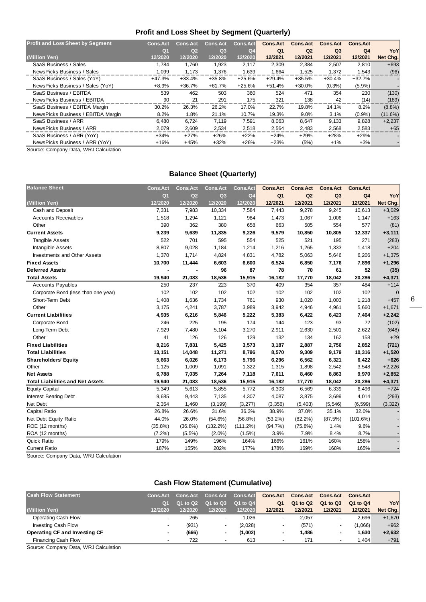### **Profit and Loss Sheet by Segment (Quarterly)**

| <b>Profit and Loss Sheet by Segment</b> | <b>Cons.Act</b> | <b>Cons.Act</b> | <b>Cons.Act</b> | <b>Cons.Act</b> | <b>Cons.Act</b> | <b>Cons.Act</b> | <b>Cons.Act</b> | <b>Cons.Act</b> |            |
|-----------------------------------------|-----------------|-----------------|-----------------|-----------------|-----------------|-----------------|-----------------|-----------------|------------|
|                                         | Q <sub>1</sub>  | Q <sub>2</sub>  | Q <sub>3</sub>  | Q <sub>4</sub>  | Q <sub>1</sub>  | Q <sub>2</sub>  | Q <sub>3</sub>  | Q <sub>4</sub>  | YoY        |
| (Million Yen)                           | 12/2020         | 12/2020         | 12/2020         | 12/2020         | 12/2021         | 12/2021         | 12/2021         | 12/2021         | Net Chg.   |
| SaaS Business / Sales                   | 1.784           | 1,760           | 1,923           | 2,117           | 2,309           | 2,384           | 2,507           | 2,810           | $+693$     |
| NewsPicks Business / Sales              | 1.099           | 1.173           | 1.376           | 1.639           | 1.664           | 1.525           | 1.372           | 1.543           | (96)       |
| SaaS Business / Sales (YoY)             | $+47.3%$        | +33.4%          | $+35.8%$        | $+25.6%$        | $+29.4%$        | $+35.5%$        | $+30.4%$        | $+32.7%$        |            |
| NewsPicks Business / Sales (YoY)        | $+8.9%$         | +36.7%          | $+61.7%$        | $+25.6%$        | $+51.4%$        | $+30.0%$        | $(0.3\%)$       | $(5.9\%)$       |            |
| SaaS Business / EBITDA                  | 539             | 462             | 503             | 360             | 524             | 471             | 354             | 230             | (130)      |
| NewsPicks Business / EBITDA             | 90              | 21              | 291             | 175             | 321             | 138             | 42              | (14)            | (189)      |
| SaaS Business / EBITDA Margin           | 30.2%           | 26.3%           | 26.2%           | 17.0%           | 22.7%           | 19.8%           | 14.1%           | 8.2%            | $(8.8\%)$  |
| NewsPicks Business / EBITDA Margin      | 8.2%            | 1.8%            | 21.1%           | 10.7%           | 19.3%           | $9.0\%$         | 3.1%            | $(0.9\%)$       | $(11.6\%)$ |
| SaaS Business / ARR                     | 6,480           | 6.724           | 7,119           | 7.591           | 8.063           | 8,647           | 9,133           | 9,828           | $+2,237$   |
| NewsPicks Business / ARR                | 2,079           | 2,609           | 2,534           | 2.518           | 2.564           | 2,483           | 2,568           | 2,583           | $+65$      |
| SaaS Business / ARR (YoY)               | $+34%$          | $+27%$          | $+26%$          | $+22%$          | $+24%$          | $+29%$          | $+28%$          | $+29%$          |            |
| NewsPicks Business / ARR (YoY)          | $+16%$          | $+45%$          | $+32%$          | $+26%$          | $+23%$          | (5%)            | $+1\%$          | $+3%$           |            |

Source: Company Data, WRJ Calculation

### **Balance Sheet (Quarterly)**

| <b>Balance Sheet</b>                    | <b>Cons.Act</b> | <b>Cons.Act</b> | <b>Cons.Act</b> | <b>Cons.Act</b> | <b>Cons.Act</b> | <b>Cons.Act</b> | <b>Cons.Act</b> | <b>Cons.Act</b> |          |
|-----------------------------------------|-----------------|-----------------|-----------------|-----------------|-----------------|-----------------|-----------------|-----------------|----------|
|                                         | Q <sub>1</sub>  | Q2              | Q3              | Q <sub>4</sub>  | Q <sub>1</sub>  | Q2              | Q <sub>3</sub>  | Q <sub>4</sub>  | YoY      |
| (Million Yen)                           | 12/2020         | 12/2020         | 12/2020         | 12/2020         | 12/2021         | 12/2021         | 12/2021         | 12/2021         | Net Chg. |
| Cash and Deposit                        | 7,331           | 7,983           | 10,334          | 7,584           | 7,443           | 9,278           | 9,245           | 10,613          | $+3,029$ |
| <b>Accounts Receivables</b>             | 1,518           | 1,294           | 1,121           | 984             | 1,473           | 1,067           | 1,006           | 1,147           | $+163$   |
| Other                                   | 390             | 362             | 380             | 658             | 663             | 505             | 554             | 577             | (81)     |
| <b>Current Assets</b>                   | 9,239           | 9,639           | 11,835          | 9,226           | 9,579           | 10,850          | 10,805          | 12,337          | $+3,111$ |
| <b>Tangible Assets</b>                  | 522             | 701             | 595             | 554             | 525             | 521             | 195             | 271             | (283)    |
| Intangible Assets                       | 8,807           | 9,028           | 1,184           | 1,214           | 1,216           | 1,265           | 1,333           | 1,418           | $+204$   |
| <b>Investments and Other Assets</b>     | 1,370           | 1,714           | 4,824           | 4,831           | 4,782           | 5,063           | 5,646           | 6,206           | $+1,375$ |
| <b>Fixed Assets</b>                     | 10,700          | 11,444          | 6,603           | 6,600           | 6,524           | 6,850           | 7,176           | 7,896           | $+1,296$ |
| <b>Deferred Assets</b>                  |                 |                 | 96              | 87              | 78              | 70              | 61              | 52              | (35)     |
| <b>Total Assets</b>                     | 19,940          | 21,083          | 18,536          | 15,915          | 16,182          | 17,770          | 18,042          | 20,286          | $+4,371$ |
| <b>Accounts Payables</b>                | 250             | 237             | 223             | 370             | 409             | 354             | 357             | 484             | $+114$   |
| Corporate Bond (less than one year)     | 102             | 102             | 102             | 102             | 102             | 102             | 102             | 102             | $\Omega$ |
| Short-Term Debt                         | 1,408           | 1,636           | 1,734           | 761             | 930             | 1,020           | 1,003           | 1,218           | $+457$   |
| Other                                   | 3,175           | 4,241           | 3,787           | 3,989           | 3,942           | 4,946           | 4,961           | 5,660           | $+1,671$ |
| <b>Current Liabilities</b>              | 4,935           | 6,216           | 5,846           | 5,222           | 5,383           | 6,422           | 6,423           | 7,464           | $+2,242$ |
| Corporate Bond                          | 246             | 225             | 195             | 174             | 144             | 123             | 93              | 72              | (102)    |
| Long-Term Debt                          | 7,929           | 7,480           | 5,104           | 3,270           | 2,911           | 2,630           | 2,501           | 2,622           | (648)    |
| Other                                   | 41              | 126             | 126             | 129             | 132             | 134             | 162             | 158             | $+29$    |
| <b>Fixed Liabilities</b>                | 8,216           | 7,831           | 5,425           | 3,573           | 3,187           | 2,887           | 2,756           | 2,852           | (721)    |
| <b>Total Liabilities</b>                | 13,151          | 14,048          | 11,271          | 8,796           | 8,570           | 9,309           | 9,179           | 10,316          | $+1,520$ |
| <b>Shareholders' Equity</b>             | 5,663           | 6,026           | 6,173           | 5,796           | 6,296           | 6,562           | 6,321           | 6,422           | $+626$   |
| Other                                   | 1,125           | 1,009           | 1,091           | 1,322           | 1,315           | 1,898           | 2,542           | 3,548           | $+2,226$ |
| <b>Net Assets</b>                       | 6,788           | 7,035           | 7,264           | 7,118           | 7,611           | 8,460           | 8,863           | 9,970           | $+2,852$ |
| <b>Total Liabilities and Net Assets</b> | 19,940          | 21,083          | 18,536          | 15,915          | 16,182          | 17,770          | 18,042          | 20,286          | $+4,371$ |
| <b>Equity Capital</b>                   | 5,349           | 5,613           | 5,855           | 5,772           | 6,303           | 6,569           | 6,339           | 6,496           | $+724$   |
| <b>Interest Bearing Debt</b>            | 9,685           | 9,443           | 7,135           | 4,307           | 4,087           | 3,875           | 3,699           | 4,014           | (293)    |
| Net Debt                                | 2,354           | 1,460           | (3, 199)        | (3, 277)        | (3,356)         | (5, 403)        | (5, 546)        | (6, 599)        | (3, 322) |
| Capital Ratio                           | 26.8%           | 26.6%           | 31.6%           | 36.3%           | 38.9%           | 37.0%           | 35.1%           | 32.0%           |          |
| Net Debt Equity Ratio                   | 44.0%           | 26.0%           | $(54.6\%)$      | $(56.8\%)$      | $(53.2\%)$      | $(82.2\%)$      | (87.5%)         | (101.6%)        |          |
| ROE (12 months)                         | $(35.8\%)$      | $(36.8\%)$      | $(132.2\%)$     | (111.2%)        | $(94.7\%)$      | $(75.8\%)$      | 1.4%            | 9.6%            |          |
| ROA (12 months)                         | $(7.2\%)$       | $(5.5\%)$       | $(2.0\%)$       | $(1.5\%)$       | 3.9%            | 7.9%            | 8.4%            | 8.7%            |          |
| <b>Quick Ratio</b>                      | 179%            | 149%            | 196%            | 164%            | 166%            | 161%            | 160%            | 158%            |          |
| <b>Current Ratio</b>                    | 187%            | 155%            | 202%            | 177%            | 178%            | 169%            | 168%            | 165%            |          |

Source: Company Data, WRJ Calculation

## **Cash Flow Statement (Cumulative)**

| <b>Cash Flow Statement</b>    | <b>Cons.Act</b>          | <b>Cons.Act</b> | <b>Cons.Act</b>          | <b>Cons.Act</b> | <b>Cons.Act</b>          | <b>Cons.Act</b> | <b>Cons.Act</b> | <b>Cons.Act</b> |          |
|-------------------------------|--------------------------|-----------------|--------------------------|-----------------|--------------------------|-----------------|-----------------|-----------------|----------|
|                               | O <sub>1</sub>           | 01 to 02        | Q1 to Q3                 | Q1 to Q4        | Q1                       | Q1 to Q2        | Q1 to Q3        | Q1 to Q4        | YoY      |
| (Million Yen)                 | 12/2020                  | 12/2020         | 12/2020                  | 12/2020         | 12/2021                  | 12/2021         | 12/2021         | 12/2021         | Net Chg. |
| Operating Cash Flow           | $\overline{\phantom{a}}$ | 265             | $\overline{\phantom{a}}$ | 1.026           | $\overline{\phantom{0}}$ | 2.057           |                 | 2.696           | $+1,670$ |
| <b>Investing Cash Flow</b>    | $\overline{\phantom{0}}$ | (931)           | -                        | (2,028)         |                          | (571)           |                 | (1.066)         | $+962$   |
| Operating CF and Investing CF | ۰                        | (666)           |                          | (1,002)         | ۰                        | 1.486           |                 | 1.630           | $+2,632$ |
| Financing Cash Flow           | $\overline{\phantom{a}}$ | 722             | $\overline{\phantom{a}}$ | 613             | $\overline{\phantom{a}}$ | 171             |                 | .404            | $+791$   |

Source: Company Data, WRJ Calculation